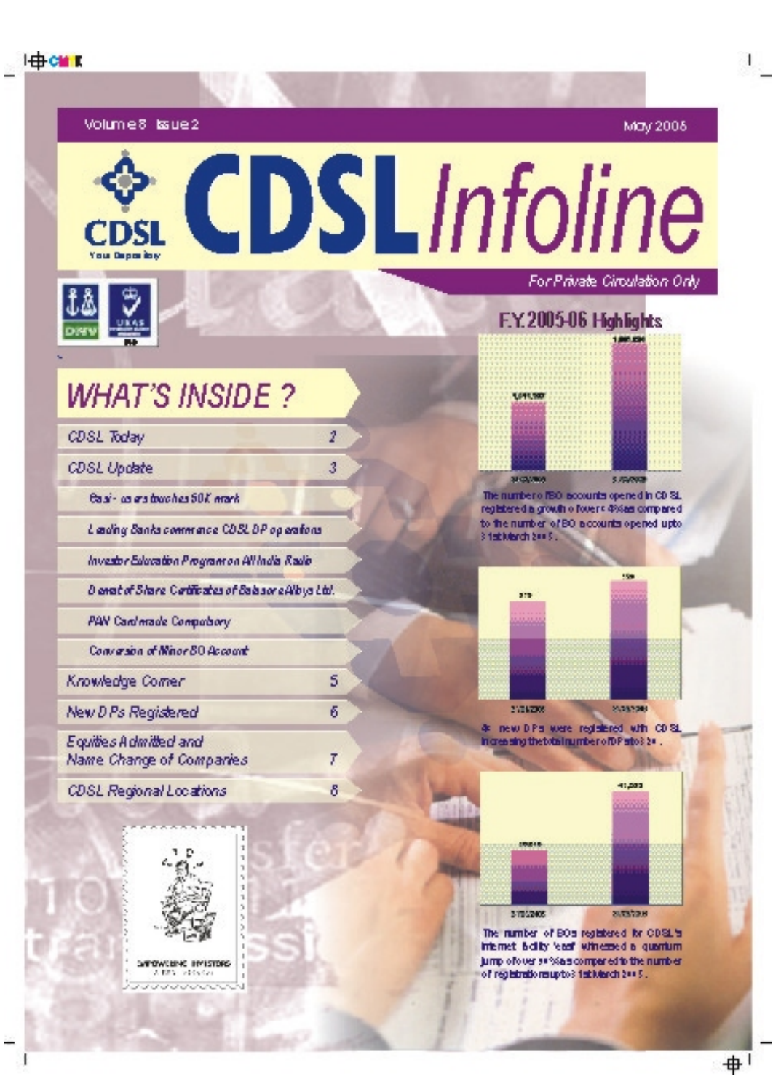**I di cui k** 

May 2008

# CDSLInfoline For Private Circulation Only



Volume8 bsue2

**WHAT'S INSIDE?** 

| <b>CDSL Today</b>                                   | 2 |  |
|-----------------------------------------------------|---|--|
| <b>CDSL Update</b>                                  | 3 |  |
| Gaini - an ann toach an 50K mark                    |   |  |
| Lading Banks commance CDSLDP op erators             |   |  |
| Investor Education Program on All India Radio       |   |  |
| D anabet Stare Certificates of Balazer e Albya Ltd. |   |  |
| PAN Cardinade Computiony                            |   |  |
| Conversion of Minor 80 Account                      |   |  |
| Knowledge Comer                                     | 5 |  |
| New D Ps Registered                                 | ñ |  |
| Equities A dimitted and<br>Name Change of Companies | T |  |
| CDSL Regional Locations                             | δ |  |







The number of IBO isocounts opened in CD SL. registered a growth o fovers 4%set compared to the number of BO accounts opened upto 3 feblükerde 200 St.



27062009

4 new DPs were registered with CDSL in creating the total number of DP arto 3 2 = .

2003200



The number of BOs registered for CDSL's internet helity least winessed a quantum tump of over as %a scormer ed to the number of registrationsuptos fait March 2005.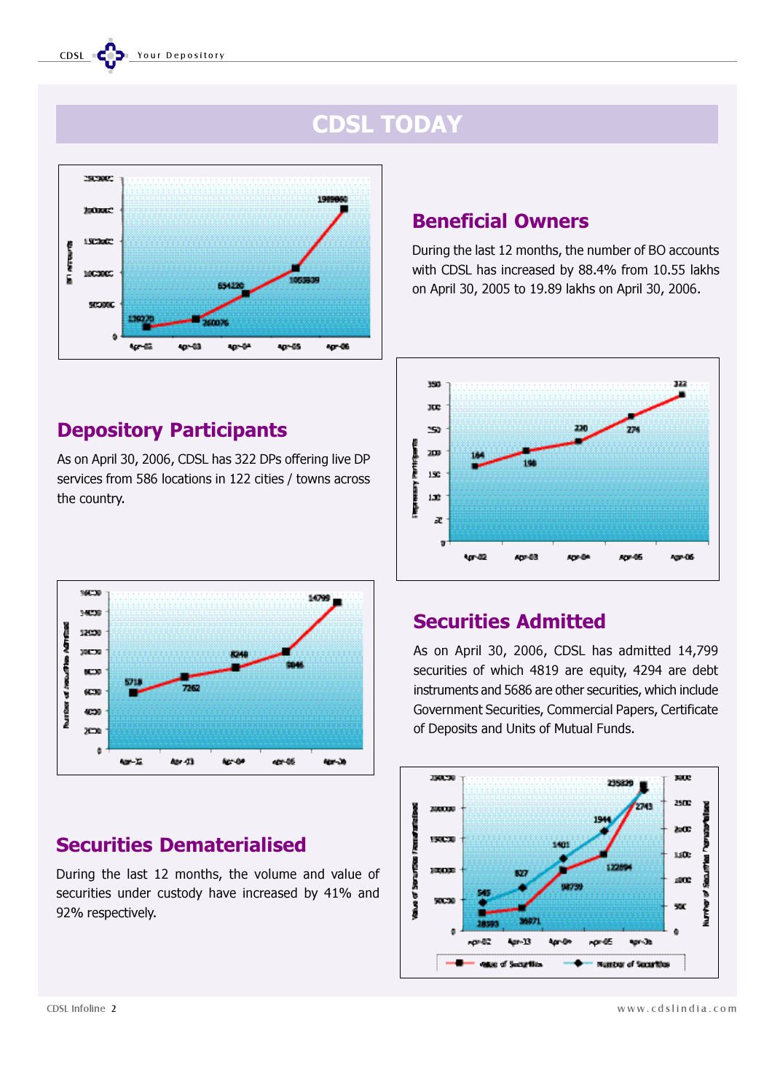# CDSL TODAY



## Depository Participants

As on April 30, 2006, CDSL has 322 DPs offering live DP services from 586 locations in 122 cities / towns across the country.



# Securities Dematerialised

During the last 12 months, the volume and value of securities under custody have increased by 41% and 92% respectively.

## Beneficial Owners

During the last 12 months, the number of BO accounts with CDSL has increased by 88.4% from 10.55 lakhs on April 30, 2005 to 19.89 lakhs on April 30, 2006.



## Securities Admitted

As on April 30, 2006, CDSL has admitted 14,799 securities of which 4819 are equity, 4294 are debt instruments and 5686 are other securities, which include Government Securities, Commercial Papers, Certificate of Deposits and Units of Mutual Funds.



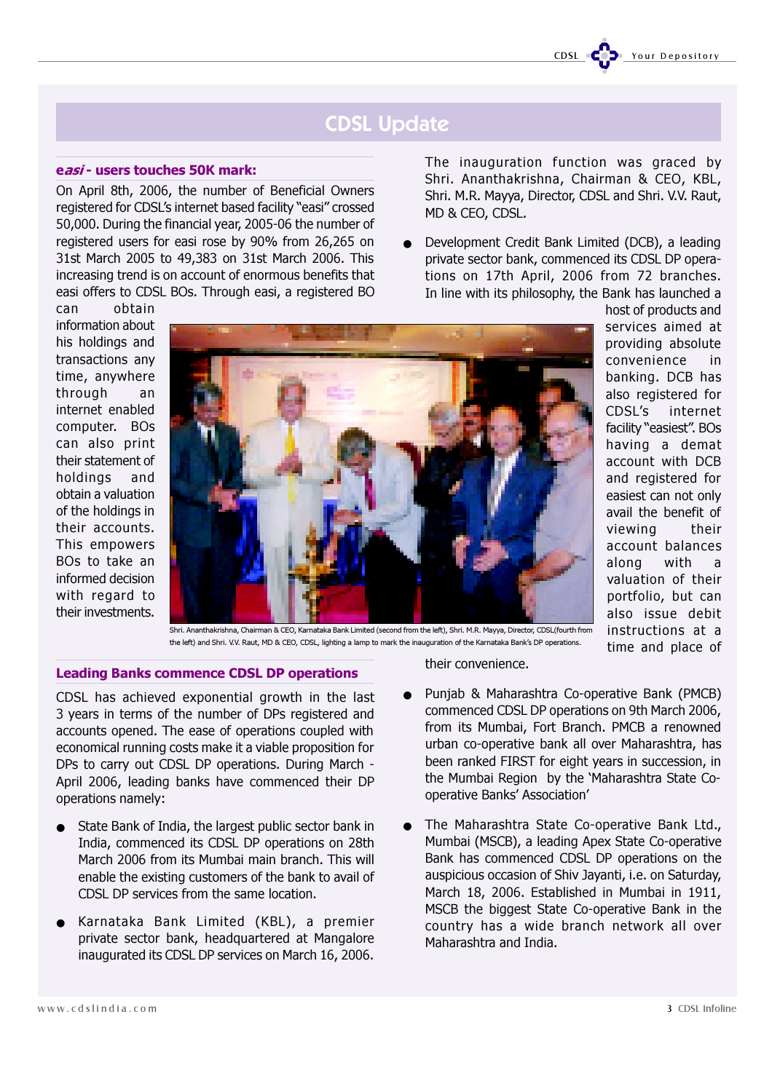# CDSL Update

#### easi - users touches 50K mark:

On April 8th, 2006, the number of Beneficial Owners registered for CDSL's internet based facility "easi" crossed 50,000. During the financial year, 2005-06 the number of registered users for easi rose by 90% from 26,265 on 31st March 2005 to 49,383 on 31st March 2006. This increasing trend is on account of enormous benefits that easi offers to CDSL BOs. Through easi, a registered BO

can obtain information about his holdings and transactions any time, anywhere through an internet enabled computer. BOs can also print their statement of holdings and obtain a valuation of the holdings in their accounts. This empowers BOs to take an informed decision with regard to their investments.



The inauguration function was graced by Shri. Ananthakrishna, Chairman & CEO, KBL, Shri. M.R. Mayya, Director, CDSL and Shri. V.V. Raut, MD & CEO, CDSL.

Development Credit Bank Limited (DCB), a leading private sector bank, commenced its CDSL DP operations on 17th April, 2006 from 72 branches. In line with its philosophy, the Bank has launched a

host of products and services aimed at providing absolute convenience in banking. DCB has also registered for CDSL's internet facility "easiest". BOs having a demat account with DCB and registered for easiest can not only avail the benefit of viewing their account balances along with a valuation of their portfolio, but can also issue debit instructions at a time and place of

Shri. Ananthakrishna, Chairman & CEO, Karnataka Bank Limited (second from the left), Shri. M.R. Mayya, Director, CDSL(fourth from the left) and Shri. V.V. Raut, MD & CEO, CDSL, lighting a lamp to mark the inauguration of the Karnataka Bank's DP operations.

## Leading Banks commence CDSL DP operations

CDSL has achieved exponential growth in the last 3 years in terms of the number of DPs registered and accounts opened. The ease of operations coupled with economical running costs make it a viable proposition for DPs to carry out CDSL DP operations. During March - April 2006, leading banks have commenced their DP operations namely:

- State Bank of India, the largest public sector bank in India, commenced its CDSL DP operations on 28th March 2006 from its Mumbai main branch. This will enable the existing customers of the bank to avail of CDSL DP services from the same location.
- Karnataka Bank Limited (KBL), a premier private sector bank, headquartered at Mangalore inaugurated its CDSL DP services on March 16, 2006.

their convenience.

- Punjab & Maharashtra Co-operative Bank (PMCB) commenced CDSL DP operations on 9th March 2006, from its Mumbai, Fort Branch. PMCB a renowned urban co-operative bank all over Maharashtra, has been ranked FIRST for eight years in succession, in the Mumbai Region by the 'Maharashtra State Cooperative Banks' Association'
- The Maharashtra State Co-operative Bank Ltd., Mumbai (MSCB), a leading Apex State Co-operative Bank has commenced CDSL DP operations on the auspicious occasion of Shiv Jayanti, i.e. on Saturday, March 18, 2006. Established in Mumbai in 1911, MSCB the biggest State Co-operative Bank in the country has a wide branch network all over Maharashtra and India.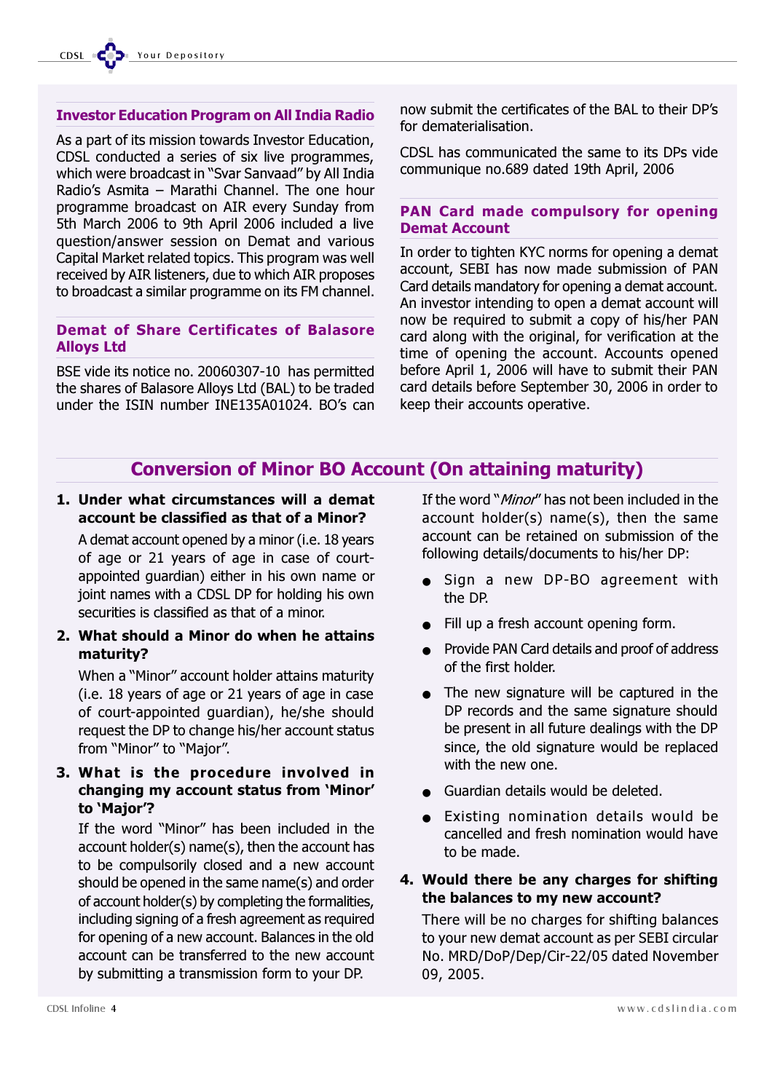### Investor Education Program on All India Radio

As a part of its mission towards Investor Education, CDSL conducted a series of six live programmes, which were broadcast in "Svar Sanvaad" by All India Radio's Asmita – Marathi Channel. The one hour programme broadcast on AIR every Sunday from 5th March 2006 to 9th April 2006 included a live question/answer session on Demat and various Capital Market related topics. This program was well received by AIR listeners, due to which AIR proposes to broadcast a similar programme on its FM channel.

## Demat of Share Certificates of Balasore Alloys Ltd

BSE vide its notice no. 20060307-10 has permitted the shares of Balasore Alloys Ltd (BAL) to be traded under the ISIN number INE135A01024. BO's can

now submit the certificates of the BAL to their DP's for dematerialisation.

CDSL has communicated the same to its DPs vide communique no.689 dated 19th April, 2006

## PAN Card made compulsory for opening Demat Account

In order to tighten KYC norms for opening a demat account, SEBI has now made submission of PAN Card details mandatory for opening a demat account. An investor intending to open a demat account will now be required to submit a copy of his/her PAN card along with the original, for verification at the time of opening the account. Accounts opened before April 1, 2006 will have to submit their PAN card details before September 30, 2006 in order to keep their accounts operative.

## Conversion of Minor BO Account (On attaining maturity)

1. Under what circumstances will a demat account be classified as that of a Minor?

A demat account opened by a minor (i.e. 18 years of age or 21 years of age in case of courtappointed guardian) either in his own name or joint names with a CDSL DP for holding his own securities is classified as that of a minor.

2. What should a Minor do when he attains maturity?

When a "Minor" account holder attains maturity (i.e. 18 years of age or 21 years of age in case of court-appointed guardian), he/she should request the DP to change his/her account status from "Minor" to "Major".

3. What is the procedure involved in changing my account status from 'Minor' to 'Major'?

If the word "Minor" has been included in the account holder(s) name(s), then the account has to be compulsorily closed and a new account should be opened in the same name(s) and order of account holder(s) by completing the formalities, including signing of a fresh agreement as required for opening of a new account. Balances in the old account can be transferred to the new account by submitting a transmission form to your DP.

If the word "*Minor*" has not been included in the account holder(s) name(s), then the same account can be retained on submission of the following details/documents to his/her DP:

- Sign a new DP-BO agreement with the DP.
- Fill up a fresh account opening form.
- Provide PAN Card details and proof of address of the first holder.
- The new signature will be captured in the DP records and the same signature should be present in all future dealings with the DP since, the old signature would be replaced with the new one.
- Guardian details would be deleted.
- Existing nomination details would be cancelled and fresh nomination would have to be made.

## 4. Would there be any charges for shifting the balances to my new account?

There will be no charges for shifting balances to your new demat account as per SEBI circular No. MRD/DoP/Dep/Cir-22/05 dated November 09, 2005.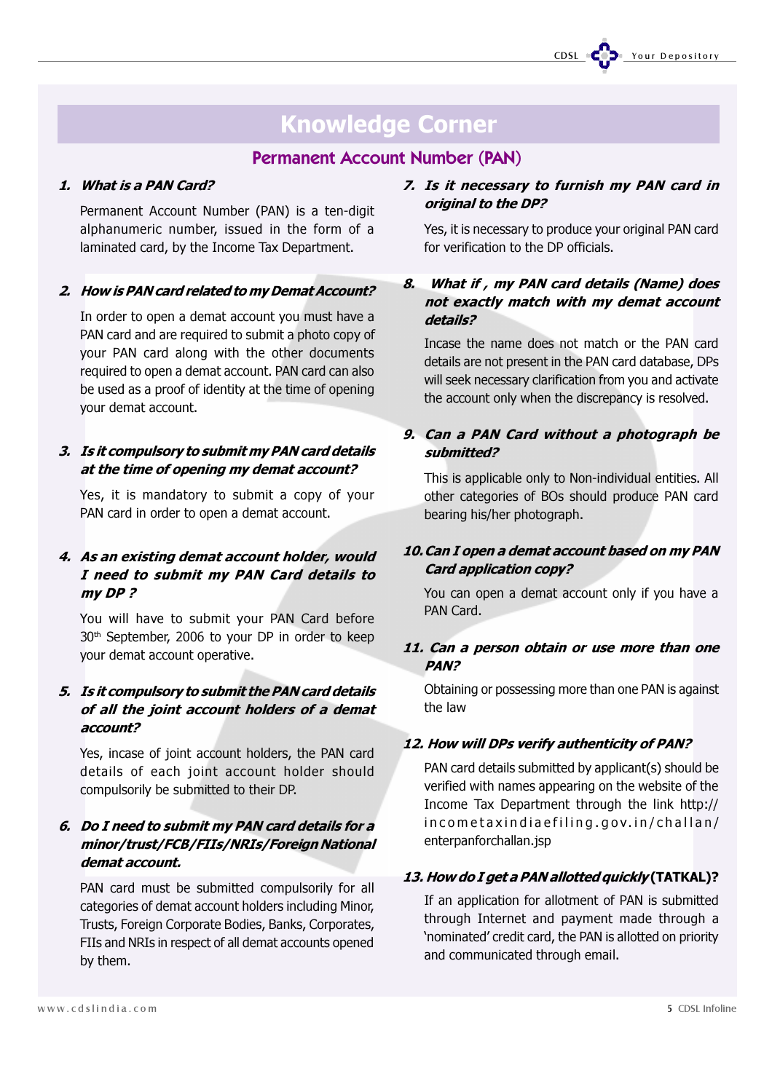# Knowledge Corner

## Permanent Account Number (PAN)

## 1. What is a PAN Card?

Permanent Account Number (PAN) is a ten-digit alphanumeric number, issued in the form of a laminated card, by the Income Tax Department.

## 2. How is PAN card related to my Demat Account?

In order to open a demat account you must have a PAN card and are required to submit a photo copy of your PAN card along with the other documents required to open a demat account. PAN card can also be used as a proof of identity at the time of opening your demat account.

## 3. Is it compulsory to submit my PAN card details at the time of opening my demat account?

Yes, it is mandatory to submit a copy of your PAN card in order to open a demat account.

## 4. As an existing demat account holder, would I need to submit my PAN Card details to my DP ?

You will have to submit your PAN Card before 30th September, 2006 to your DP in order to keep your demat account operative.

## 5. Is it compulsory to submit the PAN card details of all the joint account holders of a demat account?

Yes, incase of joint account holders, the PAN card details of each joint account holder should compulsorily be submitted to their DP.

## 6. Do I need to submit my PAN card details for a minor/trust/FCB/FIIs/NRIs/Foreign National demat account.

PAN card must be submitted compulsorily for all categories of demat account holders including Minor, Trusts, Foreign Corporate Bodies, Banks, Corporates, FIIs and NRIs in respect of all demat accounts opened by them.

## 7. Is it necessary to furnish my PAN card in original to the DP?

Yes, it is necessary to produce your original PAN card for verification to the DP officials.

## 8. What if , my PAN card details (Name) does not exactly match with my demat account details?

Incase the name does not match or the PAN card details are not present in the PAN card database, DPs will seek necessary clarification from you and activate the account only when the discrepancy is resolved.

## 9. Can a PAN Card without a photograph be submitted?

This is applicable only to Non-individual entities. All other categories of BOs should produce PAN card bearing his/her photograph.

## 10.Can I open a demat account based on my PAN Card application copy?

You can open a demat account only if you have a PAN Card.

## 11. Can a person obtain or use more than one PAN?

Obtaining or possessing more than one PAN is against the law

## 12. How will DPs verify authenticity of PAN?

PAN card details submitted by applicant(s) should be verified with names appearing on the website of the Income Tax Department through the link http:// incometaxindiaefiling.gov.in/challan/ enterpanforchallan.jsp

## 13. How do I get a PAN allotted quickly (TATKAL)?

If an application for allotment of PAN is submitted through Internet and payment made through a 'nominated' credit card, the PAN is allotted on priority and communicated through email.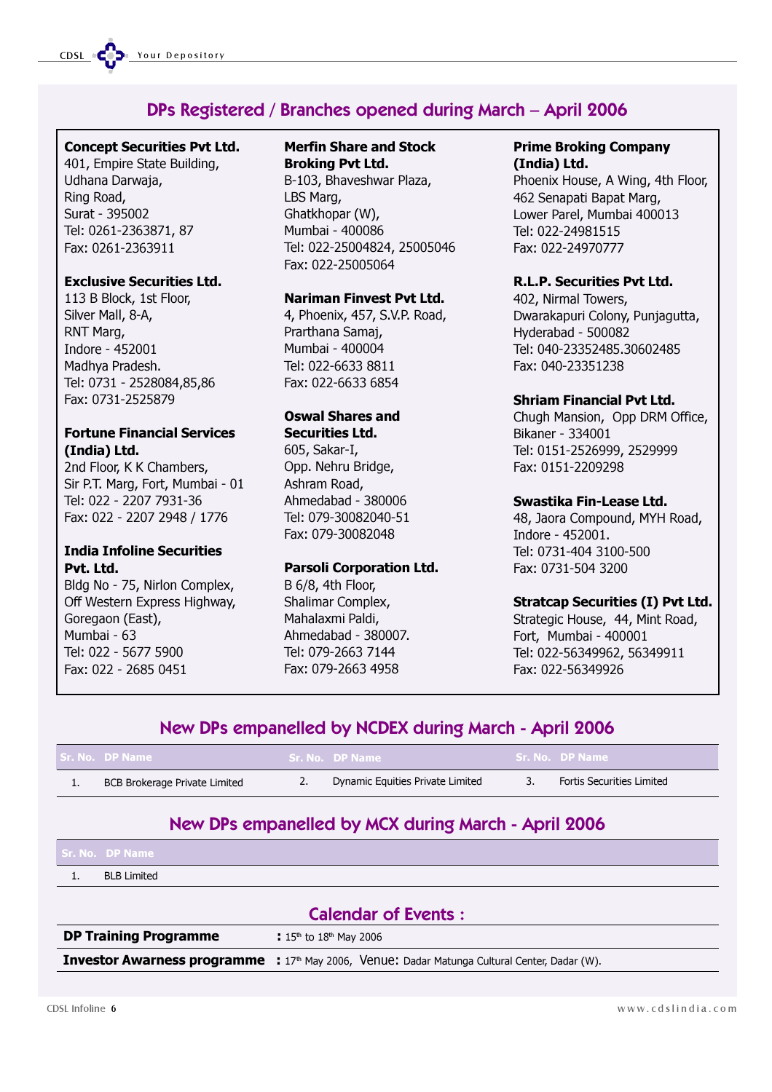## DPs Registered / Branches opened during March – April 2006

## Concept Securities Pvt Ltd.

401, Empire State Building, Udhana Darwaja, Ring Road, Surat - 395002 Tel: 0261-2363871, 87 Fax: 0261-2363911

#### Exclusive Securities Ltd.

113 B Block, 1st Floor, Silver Mall, 8-A, RNT Marg, Indore - 452001 Madhya Pradesh. Tel: 0731 - 2528084,85,86 Fax: 0731-2525879

## Fortune Financial Services (India) Ltd.

2nd Floor, K K Chambers, Sir P.T. Marg, Fort, Mumbai - 01 Tel: 022 - 2207 7931-36 Fax: 022 - 2207 2948 / 1776

## India Infoline Securities Pvt. Ltd.

Bldg No - 75, Nirlon Complex, Off Western Express Highway, Goregaon (East), Mumbai - 63 Tel: 022 - 5677 5900 Fax: 022 - 2685 0451

## Merfin Share and Stock Broking Pvt Ltd.

B-103, Bhaveshwar Plaza, LBS Marg, Ghatkhopar (W), Mumbai - 400086 Tel: 022-25004824, 25005046 Fax: 022-25005064

## Nariman Finvest Pvt Ltd.

4, Phoenix, 457, S.V.P. Road, Prarthana Samaj, Mumbai - 400004 Tel: 022-6633 8811 Fax: 022-6633 6854

### Oswal Shares and Securities Ltd.

605, Sakar-I, Opp. Nehru Bridge, Ashram Road, Ahmedabad - 380006 Tel: 079-30082040-51 Fax: 079-30082048

## Parsoli Corporation Ltd.

B 6/8, 4th Floor, Shalimar Complex, Mahalaxmi Paldi, Ahmedabad - 380007. Tel: 079-2663 7144 Fax: 079-2663 4958

### Prime Broking Company (India) Ltd.

Phoenix House, A Wing, 4th Floor, 462 Senapati Bapat Marg, Lower Parel, Mumbai 400013 Tel: 022-24981515 Fax: 022-24970777

## R.L.P. Securities Pvt Ltd.

402, Nirmal Towers, Dwarakapuri Colony, Punjagutta, Hyderabad - 500082 Tel: 040-23352485.30602485 Fax: 040-23351238

## Shriam Financial Pvt Ltd.

Chugh Mansion, Opp DRM Office, Bikaner - 334001 Tel: 0151-2526999, 2529999 Fax: 0151-2209298

## Swastika Fin-Lease Ltd.

48, Jaora Compound, MYH Road, Indore - 452001. Tel: 0731-404 3100-500 Fax: 0731-504 3200

## Stratcap Securities (I) Pvt Ltd.

Strategic House, 44, Mint Road, Fort, Mumbai - 400001 Tel: 022-56349962, 56349911 Fax: 022-56349926

## New DPs empanelled by NCDEX during March - April 2006

|     | l Sr. No. DP Name -           | Sr. No. DP Name                  | Sr. No. DP Name           |
|-----|-------------------------------|----------------------------------|---------------------------|
| . . | BCB Brokerage Private Limited | Dynamic Equities Private Limited | Fortis Securities Limited |

## New DPs empanelled by MCX during March - April 2006

| Sr. No. – DP Name  |  |
|--------------------|--|
| <b>BLB Limited</b> |  |

| <b>Calendar of Events:</b> |
|----------------------------|
|----------------------------|

**DP Training Programme : 15th to 18th May 2006** 

**Investor Awarness programme : 17th May 2006, Venue: Dadar Matunga Cultural Center, Dadar (W).**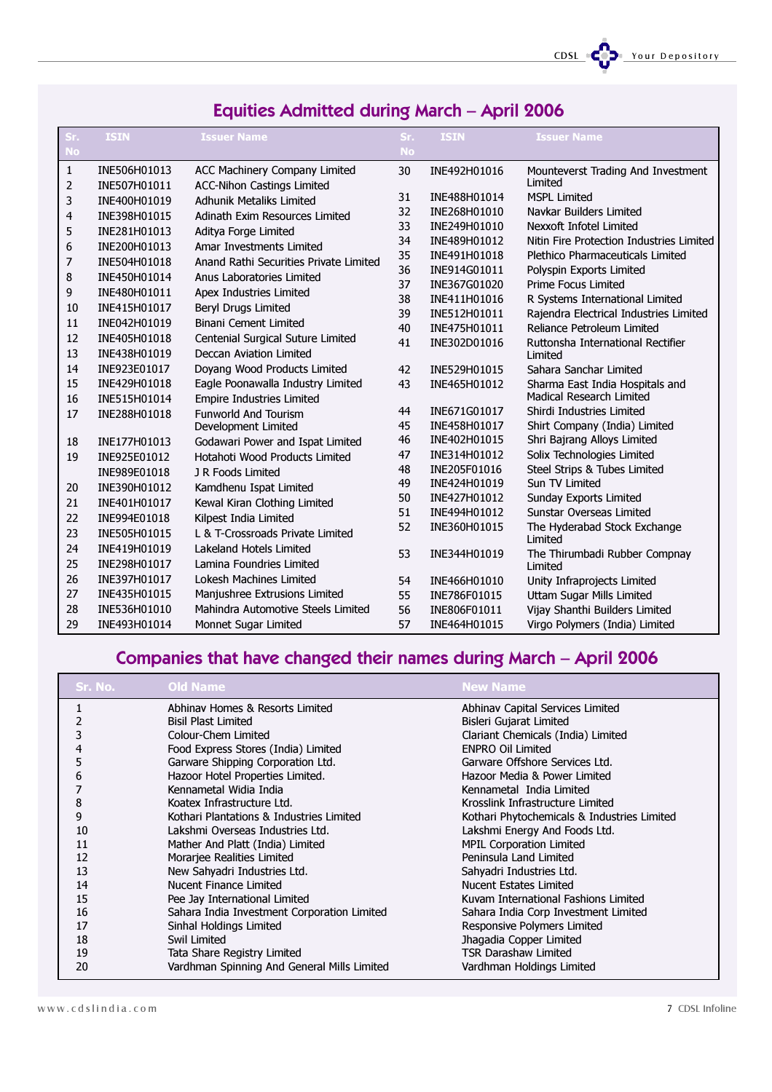CDSL CODE Your Depository

| Sr.       | <b>ISIN</b>  | <b>Issuer Name</b>                     | Sr.       | <b>ISIN</b>  | <b>Issuer Name</b>                           |
|-----------|--------------|----------------------------------------|-----------|--------------|----------------------------------------------|
| <b>No</b> |              |                                        | <b>No</b> |              |                                              |
| 1         | INE506H01013 | ACC Machinery Company Limited          | 30        | INE492H01016 | Mounteverst Trading And Investment           |
| 2         | INE507H01011 | <b>ACC-Nihon Castings Limited</b>      |           |              | Limited                                      |
| 3         | INE400H01019 | <b>Adhunik Metaliks Limited</b>        | 31        | INE488H01014 | <b>MSPL Limited</b>                          |
| 4         | INE398H01015 | Adinath Exim Resources Limited         | 32        | INE268H01010 | Navkar Builders Limited                      |
| 5         | INE281H01013 | Aditya Forge Limited                   | 33        | INE249H01010 | Nexxoft Infotel Limited                      |
| 6         | INE200H01013 | Amar Investments Limited               | 34        | INE489H01012 | Nitin Fire Protection Industries Limited     |
| 7         | INE504H01018 | Anand Rathi Securities Private Limited | 35        | INE491H01018 | Plethico Pharmaceuticals Limited             |
| 8         | INE450H01014 | Anus Laboratories Limited              | 36        | INE914G01011 | Polyspin Exports Limited                     |
| 9         | INE480H01011 | Apex Industries Limited                | 37        | INE367G01020 | <b>Prime Focus Limited</b>                   |
| 10        | INE415H01017 | Beryl Drugs Limited                    | 38        | INE411H01016 | R Systems International Limited              |
| 11        | INE042H01019 | <b>Binani Cement Limited</b>           | 39        | INE512H01011 | Rajendra Electrical Industries Limited       |
| 12        | INE405H01018 | Centenial Surgical Suture Limited      | 40        | INE475H01011 | Reliance Petroleum Limited                   |
| 13        | INE438H01019 | Deccan Aviation Limited                | 41        | INE302D01016 | Ruttonsha International Rectifier<br>Limited |
| 14        | INE923E01017 | Doyang Wood Products Limited           | 42        | INE529H01015 | Sahara Sanchar Limited                       |
| 15        | INE429H01018 | Eagle Poonawalla Industry Limited      | 43        | INE465H01012 | Sharma East India Hospitals and              |
| 16        | INE515H01014 | <b>Empire Industries Limited</b>       |           |              | Madical Research Limited                     |
| 17        | INE288H01018 | <b>Funworld And Tourism</b>            | 44        | INE671G01017 | Shirdi Industries Limited                    |
|           |              | Development Limited                    | 45        | INE458H01017 | Shirt Company (India) Limited                |
| 18        | INE177H01013 | Godawari Power and Ispat Limited       | 46        | INE402H01015 | Shri Bajrang Alloys Limited                  |
| 19        | INE925E01012 | Hotahoti Wood Products Limited         | 47        | INE314H01012 | Solix Technologies Limited                   |
|           | INE989E01018 | J R Foods Limited                      | 48        | INE205F01016 | Steel Strips & Tubes Limited                 |
| 20        | INE390H01012 | Kamdhenu Ispat Limited                 | 49        | INE424H01019 | Sun TV Limited                               |
| 21        | INE401H01017 | Kewal Kiran Clothing Limited           | 50        | INE427H01012 | Sunday Exports Limited                       |
| 22        | INE994E01018 | Kilpest India Limited                  | 51        | INE494H01012 | <b>Sunstar Overseas Limited</b>              |
| 23        | INE505H01015 | L & T-Crossroads Private Limited       | 52        | INE360H01015 | The Hyderabad Stock Exchange                 |
| 24        | INE419H01019 | Lakeland Hotels Limited                | 53        | INE344H01019 | Limited                                      |
| 25        | INE298H01017 | Lamina Foundries Limited               |           |              | The Thirumbadi Rubber Compnay<br>Limited     |
| 26        | INE397H01017 | Lokesh Machines Limited                | 54        | INE466H01010 | Unity Infraprojects Limited                  |
| 27        | INE435H01015 | Manjushree Extrusions Limited          | 55        | INE786F01015 | Uttam Sugar Mills Limited                    |
| 28        | INE536H01010 | Mahindra Automotive Steels Limited     | 56        | INE806F01011 | Vijay Shanthi Builders Limited               |
| 29        | INE493H01014 | Monnet Sugar Limited                   | 57        | INE464H01015 | Virgo Polymers (India) Limited               |

## Equities Admitted during March – April 2006

# Companies that have changed their names during March – April 2006

| Sr. No. | <b>Old Name</b>                             | <b>New Name</b>                             |
|---------|---------------------------------------------|---------------------------------------------|
|         | Abhinav Homes & Resorts Limited             | Abhinav Capital Services Limited            |
|         | <b>Bisil Plast Limited</b>                  | Bisleri Gujarat Limited                     |
|         | Colour-Chem Limited                         | Clariant Chemicals (India) Limited          |
|         | Food Express Stores (India) Limited         | <b>ENPRO Oil Limited</b>                    |
| כ       | Garware Shipping Corporation Ltd.           | Garware Offshore Services Ltd.              |
| 6       | Hazoor Hotel Properties Limited.            | Hazoor Media & Power Limited                |
|         | Kennametal Widia India                      | Kennametal India Limited                    |
| 8       | Koatex Infrastructure Ltd.                  | Krosslink Infrastructure Limited            |
| 9       | Kothari Plantations & Industries Limited    | Kothari Phytochemicals & Industries Limited |
| 10      | Lakshmi Overseas Industries Ltd.            | Lakshmi Energy And Foods Ltd.               |
| 11      | Mather And Platt (India) Limited            | <b>MPIL Corporation Limited</b>             |
| 12      | Morarjee Realities Limited                  | Peninsula Land Limited                      |
| 13      | New Sahyadri Industries Ltd.                | Sahyadri Industries Ltd.                    |
| 14      | Nucent Finance Limited                      | Nucent Estates Limited                      |
| 15      | Pee Jay International Limited               | Kuvam International Fashions Limited        |
| 16      | Sahara India Investment Corporation Limited | Sahara India Corp Investment Limited        |
| 17      | Sinhal Holdings Limited                     | Responsive Polymers Limited                 |
| 18      | Swil Limited                                | Jhagadia Copper Limited                     |
| 19      | Tata Share Registry Limited                 | <b>TSR Darashaw Limited</b>                 |
| 20      | Vardhman Spinning And General Mills Limited | Vardhman Holdings Limited                   |